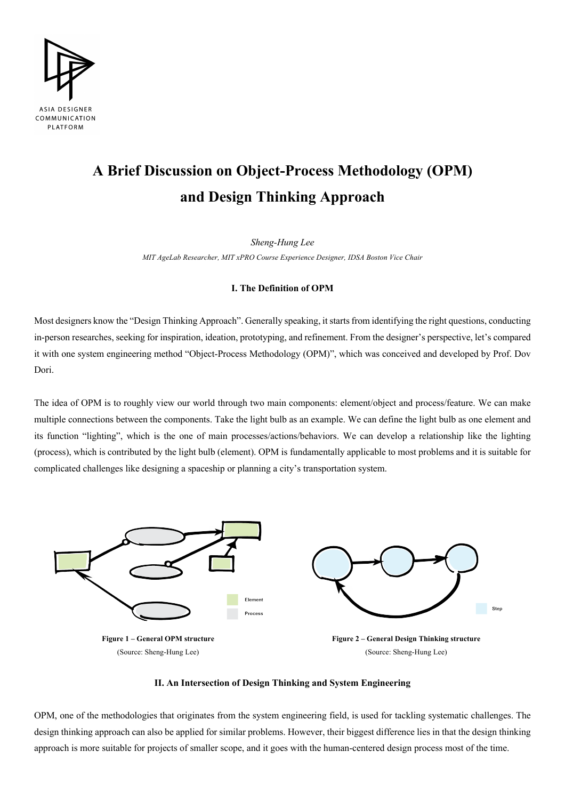

# **A Brief Discussion on Object-Process Methodology (OPM) and Design Thinking Approach**

*Sheng-Hung Lee*

*MIT AgeLab Researcher, MIT xPRO Course Experience Designer, IDSA Boston Vice Chair*

## **I. The Definition of OPM**

Most designers know the "Design Thinking Approach". Generally speaking, it starts from identifying the right questions, conducting in-person researches, seeking for inspiration, ideation, prototyping, and refinement. From the designer's perspective, let's compared it with one system engineering method "Object-Process Methodology (OPM)", which was conceived and developed by Prof. Dov Dori.

The idea of OPM is to roughly view our world through two main components: element/object and process/feature. We can make multiple connections between the components. Take the light bulb as an example. We can define the light bulb as one element and its function "lighting", which is the one of main processes/actions/behaviors. We can develop a relationship like the lighting (process), which is contributed by the light bulb (element). OPM is fundamentally applicable to most problems and it is suitable for complicated challenges like designing a spaceship or planning a city's transportation system.



## **II. An Intersection of Design Thinking and System Engineering**

OPM, one of the methodologies that originates from the system engineering field, is used for tackling systematic challenges. The design thinking approach can also be applied for similar problems. However, their biggest difference lies in that the design thinking approach is more suitable for projects of smaller scope, and it goes with the human-centered design process most of the time.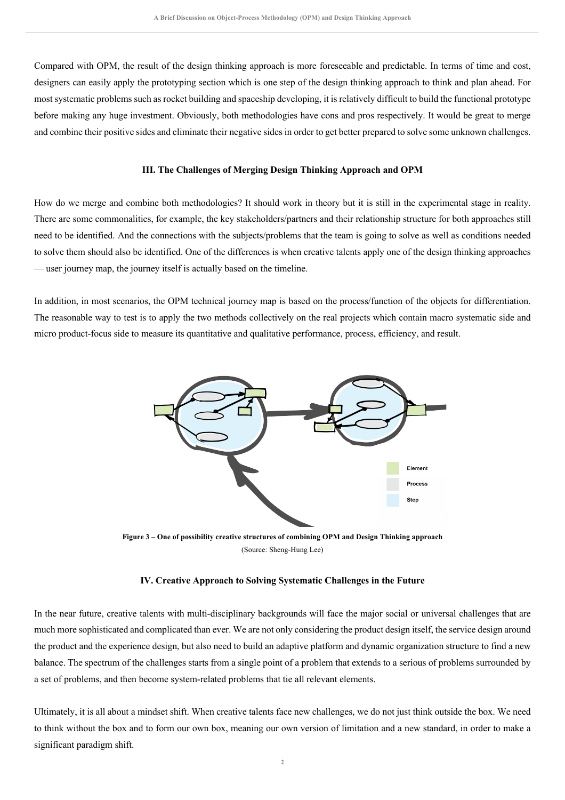Compared with OPM, the result of the design thinking approach is more foreseeable and predictable. In terms of time and cost, designers can easily apply the prototyping section which is one step of the design thinking approach to think and plan ahead. For most systematic problems such as rocket building and spaceship developing, it is relatively difficult to build the functional prototype before making any huge investment. Obviously, both methodologies have cons and pros respectively. It would be great to merge and combine their positive sides and eliminate their negative sides in order to get better prepared to solve some unknown challenges.

#### **III. The Challenges of Merging Design Thinking Approach and OPM**

How do we merge and combine both methodologies? It should work in theory but it is still in the experimental stage in reality. There are some commonalities, for example, the key stakeholders/partners and their relationship structure for both approaches still need to be identified. And the connections with the subjects/problems that the team is going to solve as well as conditions needed to solve them should also be identified. One of the differences is when creative talents apply one of the design thinking approaches — user journey map, the journey itself is actually based on the timeline.

In addition, in most scenarios, the OPM technical journey map is based on the process/function of the objects for differentiation. The reasonable way to test is to apply the two methods collectively on the real projects which contain macro systematic side and micro product-focus side to measure its quantitative and qualitative performance, process, efficiency, and result.



**Figure 3 – One of possibility creative structures of combining OPM and Design Thinking approach** (Source: Sheng-Hung Lee)

#### **IV. Creative Approach to Solving Systematic Challenges in the Future**

In the near future, creative talents with multi-disciplinary backgrounds will face the major social or universal challenges that are much more sophisticated and complicated than ever. We are not only considering the product design itself, the service design around the product and the experience design, but also need to build an adaptive platform and dynamic organization structure to find a new balance. The spectrum of the challenges starts from a single point of a problem that extends to a serious of problems surrounded by a set of problems, and then become system-related problems that tie all relevant elements.

Ultimately, it is all about a mindset shift. When creative talents face new challenges, we do not just think outside the box. We need to think without the box and to form our own box, meaning our own version of limitation and a new standard, in order to make a significant paradigm shift.